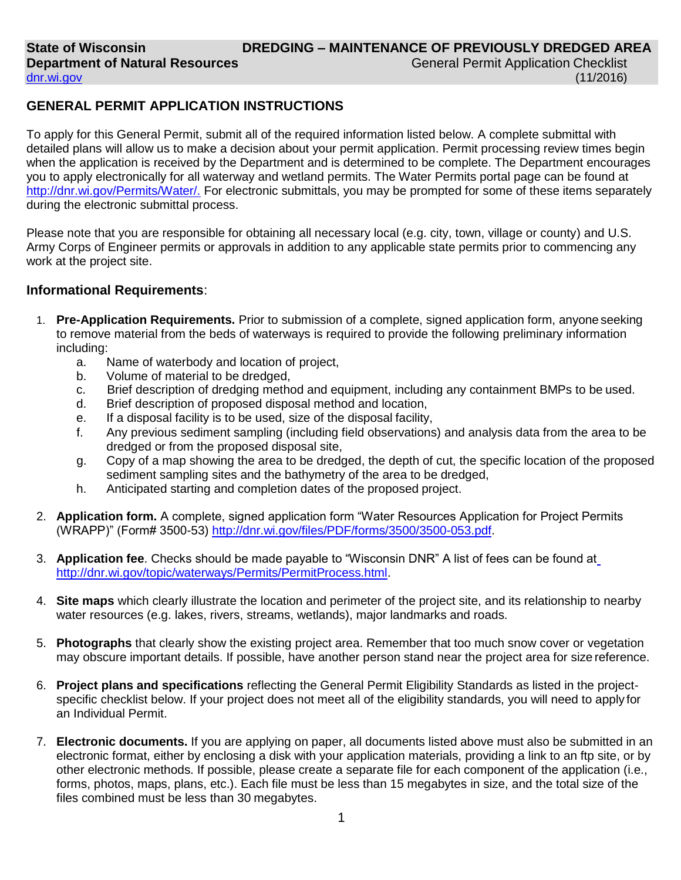#### [dnr.wi.gov](http://dnr.wi.gov/)

(11/2016)

# **GENERAL PERMIT APPLICATION INSTRUCTIONS**

To apply for this General Permit, submit all of the required information listed below. A complete submittal with detailed plans will allow us to make a decision about your permit application. Permit processing review times begin when the application is received by the Department and is determined to be complete. The Department encourages you to apply electronically for all waterway and wetland permits. The Water Permits portal page can be found at [http://dnr.wi.gov/Permits/Water/.](http://dnr.wi.gov/Permits/Water/) For electronic submittals, you may be prompted for some of these items separately during the electronic submittal process.

Please note that you are responsible for obtaining all necessary local (e.g. city, town, village or county) and U.S. Army Corps of Engineer permits or approvals in addition to any applicable state permits prior to commencing any work at the project site.

### **Informational Requirements**:

- 1. **Pre-Application Requirements.** Prior to submission of a complete, signed application form, anyone seeking to remove material from the beds of waterways is required to provide the following preliminary information including:
	- a. Name of waterbody and location of project,
	- b. Volume of material to be dredged,
	- c. Brief description of dredging method and equipment, including any containment BMPs to be used.
	- d. Brief description of proposed disposal method and location,
	- e. If a disposal facility is to be used, size of the disposal facility,
	- f. Any previous sediment sampling (including field observations) and analysis data from the area to be dredged or from the proposed disposal site,
	- g. Copy of a map showing the area to be dredged, the depth of cut, the specific location of the proposed sediment sampling sites and the bathymetry of the area to be dredged,
	- h. Anticipated starting and completion dates of the proposed project.
- 2. **Application form.** A complete, signed application form "Water Resources Application for Project Permits (WRAPP)" (Form# 3500-53) [http://dnr.wi.gov/files/PDF/forms/3500/3500-053.pdf.](http://dnr.wi.gov/files/PDF/forms/3500/3500-053.pdf)
- 3. **Application fee**. Checks should be made payable to "Wisconsin DNR" A list of fees can be found at [http://dnr.wi.gov/topic/waterways/Permits/PermitProcess.html.](http://dnr.wi.gov/topic/waterways/Permits/PermitProcess.html)
- 4. **Site maps** which clearly illustrate the location and perimeter of the project site, and its relationship to nearby water resources (e.g. lakes, rivers, streams, wetlands), major landmarks and roads.
- 5. **Photographs** that clearly show the existing project area. Remember that too much snow cover or vegetation may obscure important details. If possible, have another person stand near the project area for size reference.
- 6. **Project plans and specifications** reflecting the General Permit Eligibility Standards as listed in the projectspecific checklist below. If your project does not meet all of the eligibility standards, you will need to apply for an Individual Permit.
- 7. **Electronic documents.** If you are applying on paper, all documents listed above must also be submitted in an electronic format, either by enclosing a disk with your application materials, providing a link to an ftp site, or by other electronic methods. If possible, please create a separate file for each component of the application (i.e., forms, photos, maps, plans, etc.). Each file must be less than 15 megabytes in size, and the total size of the files combined must be less than 30 megabytes.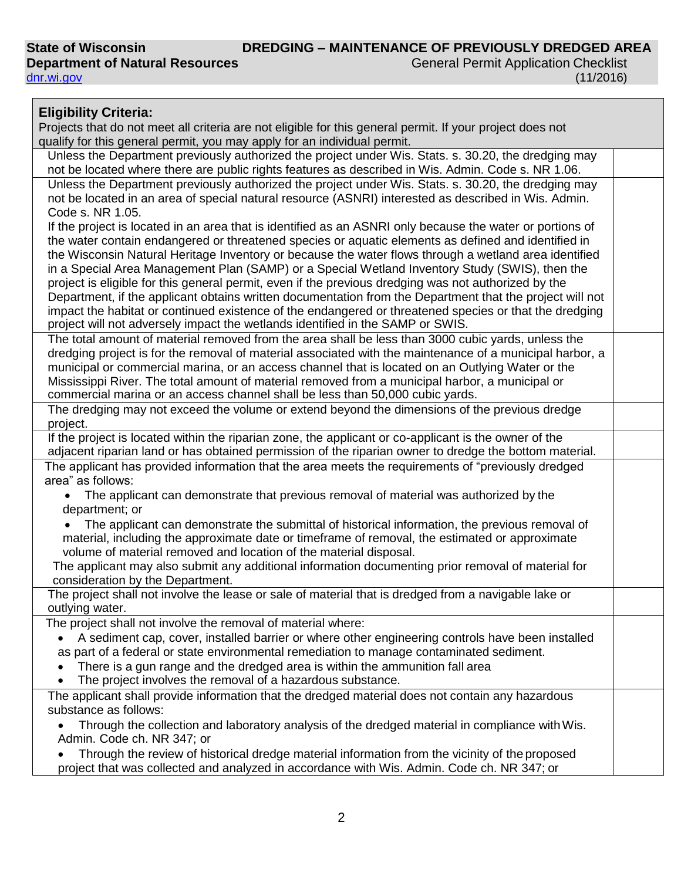General Permit Application Checklist (11/2016)

| <b>Eligibility Criteria:</b>                                                                                                                                                                                    |  |
|-----------------------------------------------------------------------------------------------------------------------------------------------------------------------------------------------------------------|--|
| Projects that do not meet all criteria are not eligible for this general permit. If your project does not                                                                                                       |  |
| qualify for this general permit, you may apply for an individual permit.                                                                                                                                        |  |
| Unless the Department previously authorized the project under Wis. Stats. s. 30.20, the dredging may                                                                                                            |  |
| not be located where there are public rights features as described in Wis. Admin. Code s. NR 1.06.                                                                                                              |  |
| Unless the Department previously authorized the project under Wis. Stats. s. 30.20, the dredging may                                                                                                            |  |
| not be located in an area of special natural resource (ASNRI) interested as described in Wis. Admin.<br>Code s. NR 1.05.                                                                                        |  |
| If the project is located in an area that is identified as an ASNRI only because the water or portions of                                                                                                       |  |
| the water contain endangered or threatened species or aquatic elements as defined and identified in                                                                                                             |  |
| the Wisconsin Natural Heritage Inventory or because the water flows through a wetland area identified                                                                                                           |  |
| in a Special Area Management Plan (SAMP) or a Special Wetland Inventory Study (SWIS), then the                                                                                                                  |  |
| project is eligible for this general permit, even if the previous dredging was not authorized by the                                                                                                            |  |
| Department, if the applicant obtains written documentation from the Department that the project will not                                                                                                        |  |
| impact the habitat or continued existence of the endangered or threatened species or that the dredging<br>project will not adversely impact the wetlands identified in the SAMP or SWIS.                        |  |
| The total amount of material removed from the area shall be less than 3000 cubic yards, unless the                                                                                                              |  |
| dredging project is for the removal of material associated with the maintenance of a municipal harbor, a                                                                                                        |  |
| municipal or commercial marina, or an access channel that is located on an Outlying Water or the                                                                                                                |  |
| Mississippi River. The total amount of material removed from a municipal harbor, a municipal or<br>commercial marina or an access channel shall be less than 50,000 cubic yards.                                |  |
| The dredging may not exceed the volume or extend beyond the dimensions of the previous dredge                                                                                                                   |  |
| project.                                                                                                                                                                                                        |  |
| If the project is located within the riparian zone, the applicant or co-applicant is the owner of the<br>adjacent riparian land or has obtained permission of the riparian owner to dredge the bottom material. |  |
| The applicant has provided information that the area meets the requirements of "previously dredged                                                                                                              |  |
| area" as follows:                                                                                                                                                                                               |  |
| The applicant can demonstrate that previous removal of material was authorized by the                                                                                                                           |  |
| department; or                                                                                                                                                                                                  |  |
| The applicant can demonstrate the submittal of historical information, the previous removal of                                                                                                                  |  |
| material, including the approximate date or timeframe of removal, the estimated or approximate                                                                                                                  |  |
| volume of material removed and location of the material disposal.                                                                                                                                               |  |
| The applicant may also submit any additional information documenting prior removal of material for<br>consideration by the Department.                                                                          |  |
| The project shall not involve the lease or sale of material that is dredged from a navigable lake or                                                                                                            |  |
| outlying water.                                                                                                                                                                                                 |  |
| The project shall not involve the removal of material where:                                                                                                                                                    |  |
| A sediment cap, cover, installed barrier or where other engineering controls have been installed                                                                                                                |  |
| as part of a federal or state environmental remediation to manage contaminated sediment.                                                                                                                        |  |
| There is a gun range and the dredged area is within the ammunition fall area                                                                                                                                    |  |
| The project involves the removal of a hazardous substance.                                                                                                                                                      |  |
| The applicant shall provide information that the dredged material does not contain any hazardous                                                                                                                |  |
| substance as follows:                                                                                                                                                                                           |  |
| Through the collection and laboratory analysis of the dredged material in compliance with Wis.                                                                                                                  |  |
| Admin. Code ch. NR 347; or                                                                                                                                                                                      |  |
| Through the review of historical dredge material information from the vicinity of the proposed                                                                                                                  |  |
| project that was collected and analyzed in accordance with Wis. Admin. Code ch. NR 347; or                                                                                                                      |  |